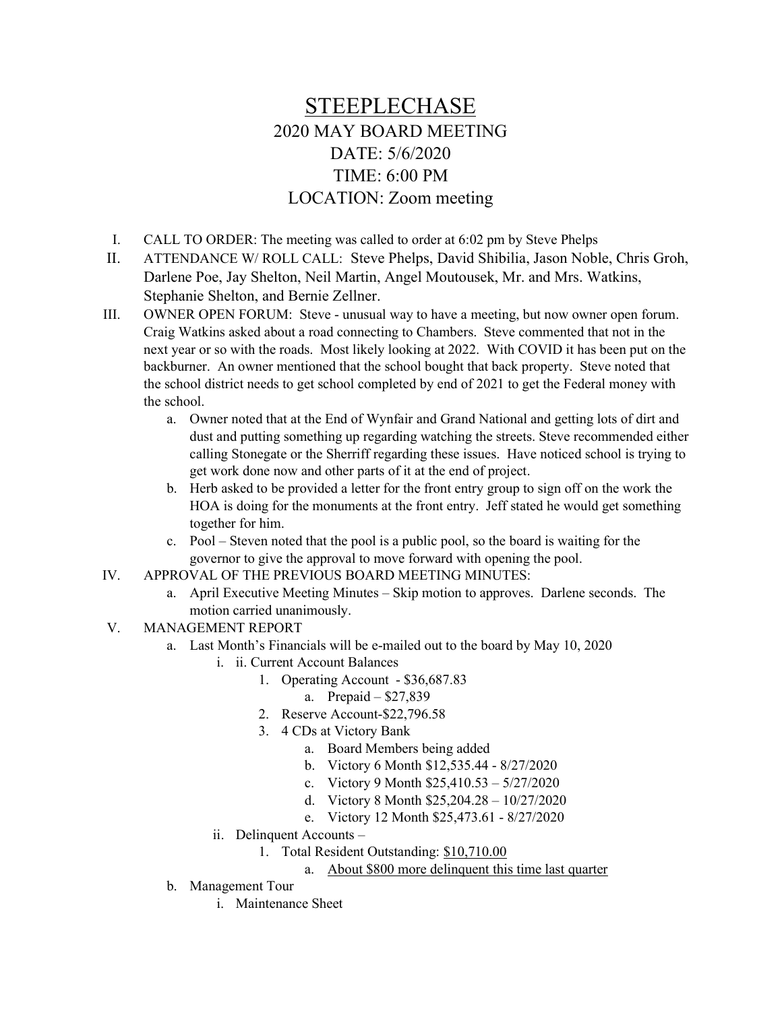## STEEPLECHASE 2020 MAY BOARD MEETING DATE: 5/6/2020 TIME: 6:00 PM LOCATION: Zoom meeting

- I. CALL TO ORDER: The meeting was called to order at 6:02 pm by Steve Phelps
- II. ATTENDANCE W/ ROLL CALL: Steve Phelps, David Shibilia, Jason Noble, Chris Groh, Darlene Poe, Jay Shelton, Neil Martin, Angel Moutousek, Mr. and Mrs. Watkins, Stephanie Shelton, and Bernie Zellner.
- III. OWNER OPEN FORUM: Steve unusual way to have a meeting, but now owner open forum. Craig Watkins asked about a road connecting to Chambers. Steve commented that not in the next year or so with the roads. Most likely looking at 2022. With COVID it has been put on the backburner. An owner mentioned that the school bought that back property. Steve noted that the school district needs to get school completed by end of 2021 to get the Federal money with the school.
	- a. Owner noted that at the End of Wynfair and Grand National and getting lots of dirt and dust and putting something up regarding watching the streets. Steve recommended either calling Stonegate or the Sherriff regarding these issues. Have noticed school is trying to get work done now and other parts of it at the end of project.
	- b. Herb asked to be provided a letter for the front entry group to sign off on the work the HOA is doing for the monuments at the front entry. Jeff stated he would get something together for him.
	- c. Pool Steven noted that the pool is a public pool, so the board is waiting for the governor to give the approval to move forward with opening the pool.
- IV. APPROVAL OF THE PREVIOUS BOARD MEETING MINUTES:
	- a. April Executive Meeting Minutes Skip motion to approves. Darlene seconds. The motion carried unanimously.
- V. MANAGEMENT REPORT
	- a. Last Month's Financials will be e-mailed out to the board by May 10, 2020
		- i. ii. Current Account Balances
			- 1. Operating Account \$36,687.83
				- a. Prepaid \$27,839
			- 2. Reserve Account-\$22,796.58
			- 3. 4 CDs at Victory Bank
				- a. Board Members being added
				- b. Victory 6 Month \$12,535.44 8/27/2020
				- c. Victory 9 Month \$25,410.53 5/27/2020
				- d. Victory 8 Month \$25,204.28 10/27/2020
				- e. Victory 12 Month \$25,473.61 8/27/2020
		- ii. Delinquent Accounts
			- 1. Total Resident Outstanding: \$10,710.00
				- a. About \$800 more delinquent this time last quarter
	- b. Management Tour
		- i. Maintenance Sheet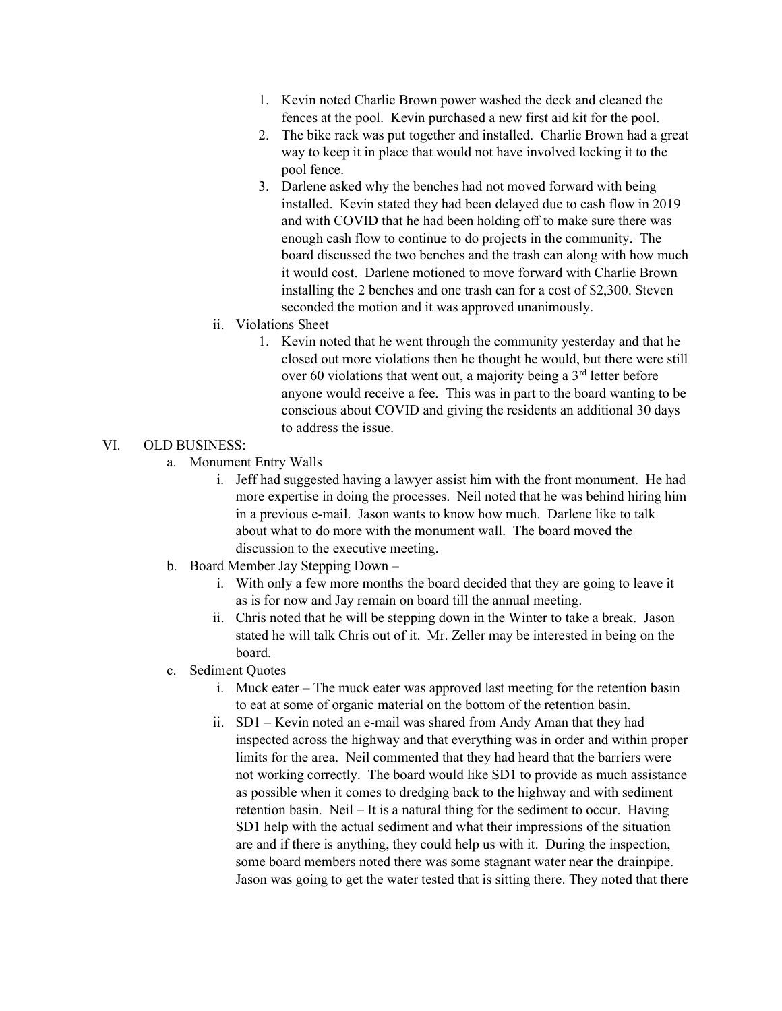- 1. Kevin noted Charlie Brown power washed the deck and cleaned the fences at the pool. Kevin purchased a new first aid kit for the pool.
- 2. The bike rack was put together and installed. Charlie Brown had a great way to keep it in place that would not have involved locking it to the pool fence.
- 3. Darlene asked why the benches had not moved forward with being installed. Kevin stated they had been delayed due to cash flow in 2019 and with COVID that he had been holding off to make sure there was enough cash flow to continue to do projects in the community. The board discussed the two benches and the trash can along with how much it would cost. Darlene motioned to move forward with Charlie Brown installing the 2 benches and one trash can for a cost of \$2,300. Steven seconded the motion and it was approved unanimously.
- ii. Violations Sheet
	- 1. Kevin noted that he went through the community yesterday and that he closed out more violations then he thought he would, but there were still over 60 violations that went out, a majority being a  $3<sup>rd</sup>$  letter before anyone would receive a fee. This was in part to the board wanting to be conscious about COVID and giving the residents an additional 30 days to address the issue.

## VI. OLD BUSINESS:

- a. Monument Entry Walls
	- i. Jeff had suggested having a lawyer assist him with the front monument. He had more expertise in doing the processes. Neil noted that he was behind hiring him in a previous e-mail. Jason wants to know how much. Darlene like to talk about what to do more with the monument wall. The board moved the discussion to the executive meeting.
- b. Board Member Jay Stepping Down
	- i. With only a few more months the board decided that they are going to leave it as is for now and Jay remain on board till the annual meeting.
	- ii. Chris noted that he will be stepping down in the Winter to take a break. Jason stated he will talk Chris out of it. Mr. Zeller may be interested in being on the board.
- c. Sediment Quotes
	- i. Muck eater The muck eater was approved last meeting for the retention basin to eat at some of organic material on the bottom of the retention basin.
	- ii. SD1 Kevin noted an e-mail was shared from Andy Aman that they had inspected across the highway and that everything was in order and within proper limits for the area. Neil commented that they had heard that the barriers were not working correctly. The board would like SD1 to provide as much assistance as possible when it comes to dredging back to the highway and with sediment retention basin. Neil – It is a natural thing for the sediment to occur. Having SD1 help with the actual sediment and what their impressions of the situation are and if there is anything, they could help us with it. During the inspection, some board members noted there was some stagnant water near the drainpipe. Jason was going to get the water tested that is sitting there. They noted that there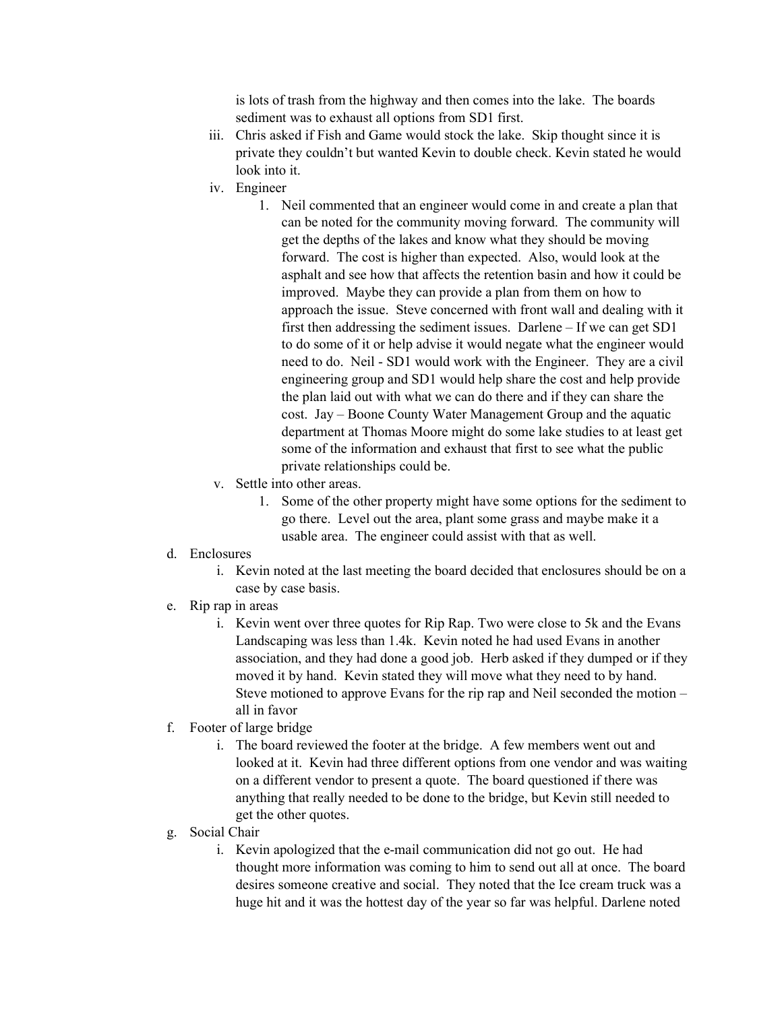is lots of trash from the highway and then comes into the lake. The boards sediment was to exhaust all options from SD1 first.

- iii. Chris asked if Fish and Game would stock the lake. Skip thought since it is private they couldn't but wanted Kevin to double check. Kevin stated he would look into it.
- iv. Engineer
	- 1. Neil commented that an engineer would come in and create a plan that can be noted for the community moving forward. The community will get the depths of the lakes and know what they should be moving forward. The cost is higher than expected. Also, would look at the asphalt and see how that affects the retention basin and how it could be improved. Maybe they can provide a plan from them on how to approach the issue. Steve concerned with front wall and dealing with it first then addressing the sediment issues. Darlene – If we can get SD1 to do some of it or help advise it would negate what the engineer would need to do. Neil - SD1 would work with the Engineer. They are a civil engineering group and SD1 would help share the cost and help provide the plan laid out with what we can do there and if they can share the cost. Jay – Boone County Water Management Group and the aquatic department at Thomas Moore might do some lake studies to at least get some of the information and exhaust that first to see what the public private relationships could be.
- v. Settle into other areas.
	- 1. Some of the other property might have some options for the sediment to go there. Level out the area, plant some grass and maybe make it a usable area. The engineer could assist with that as well.
- d. Enclosures
	- i. Kevin noted at the last meeting the board decided that enclosures should be on a case by case basis.
- e. Rip rap in areas
	- i. Kevin went over three quotes for Rip Rap. Two were close to 5k and the Evans Landscaping was less than 1.4k. Kevin noted he had used Evans in another association, and they had done a good job. Herb asked if they dumped or if they moved it by hand. Kevin stated they will move what they need to by hand. Steve motioned to approve Evans for the rip rap and Neil seconded the motion – all in favor
- f. Footer of large bridge
	- i. The board reviewed the footer at the bridge. A few members went out and looked at it. Kevin had three different options from one vendor and was waiting on a different vendor to present a quote. The board questioned if there was anything that really needed to be done to the bridge, but Kevin still needed to get the other quotes.
- g. Social Chair
	- i. Kevin apologized that the e-mail communication did not go out. He had thought more information was coming to him to send out all at once. The board desires someone creative and social. They noted that the Ice cream truck was a huge hit and it was the hottest day of the year so far was helpful. Darlene noted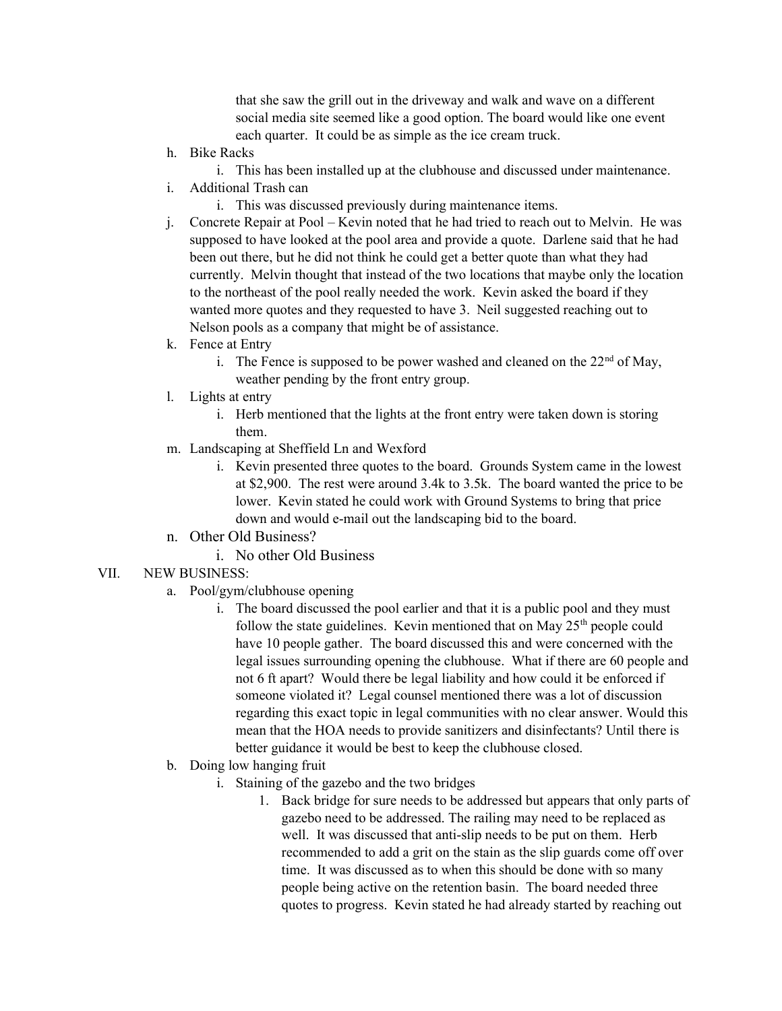that she saw the grill out in the driveway and walk and wave on a different social media site seemed like a good option. The board would like one event each quarter. It could be as simple as the ice cream truck.

- h. Bike Racks
	- i. This has been installed up at the clubhouse and discussed under maintenance.
- i. Additional Trash can
	- i. This was discussed previously during maintenance items.
- j. Concrete Repair at Pool Kevin noted that he had tried to reach out to Melvin. He was supposed to have looked at the pool area and provide a quote. Darlene said that he had been out there, but he did not think he could get a better quote than what they had currently. Melvin thought that instead of the two locations that maybe only the location to the northeast of the pool really needed the work. Kevin asked the board if they wanted more quotes and they requested to have 3. Neil suggested reaching out to Nelson pools as a company that might be of assistance.
- k. Fence at Entry
	- i. The Fence is supposed to be power washed and cleaned on the  $22<sup>nd</sup>$  of May, weather pending by the front entry group.
- l. Lights at entry
	- i. Herb mentioned that the lights at the front entry were taken down is storing them.
- m. Landscaping at Sheffield Ln and Wexford
	- i. Kevin presented three quotes to the board. Grounds System came in the lowest at \$2,900. The rest were around 3.4k to 3.5k. The board wanted the price to be lower. Kevin stated he could work with Ground Systems to bring that price down and would e-mail out the landscaping bid to the board.
- n. Other Old Business?
	- i. No other Old Business

## VII. NEW BUSINESS:

- a. Pool/gym/clubhouse opening
	- i. The board discussed the pool earlier and that it is a public pool and they must follow the state guidelines. Kevin mentioned that on May  $25<sup>th</sup>$  people could have 10 people gather. The board discussed this and were concerned with the legal issues surrounding opening the clubhouse. What if there are 60 people and not 6 ft apart? Would there be legal liability and how could it be enforced if someone violated it? Legal counsel mentioned there was a lot of discussion regarding this exact topic in legal communities with no clear answer. Would this mean that the HOA needs to provide sanitizers and disinfectants? Until there is better guidance it would be best to keep the clubhouse closed.
- b. Doing low hanging fruit
	- i. Staining of the gazebo and the two bridges
		- 1. Back bridge for sure needs to be addressed but appears that only parts of gazebo need to be addressed. The railing may need to be replaced as well. It was discussed that anti-slip needs to be put on them. Herb recommended to add a grit on the stain as the slip guards come off over time. It was discussed as to when this should be done with so many people being active on the retention basin. The board needed three quotes to progress. Kevin stated he had already started by reaching out